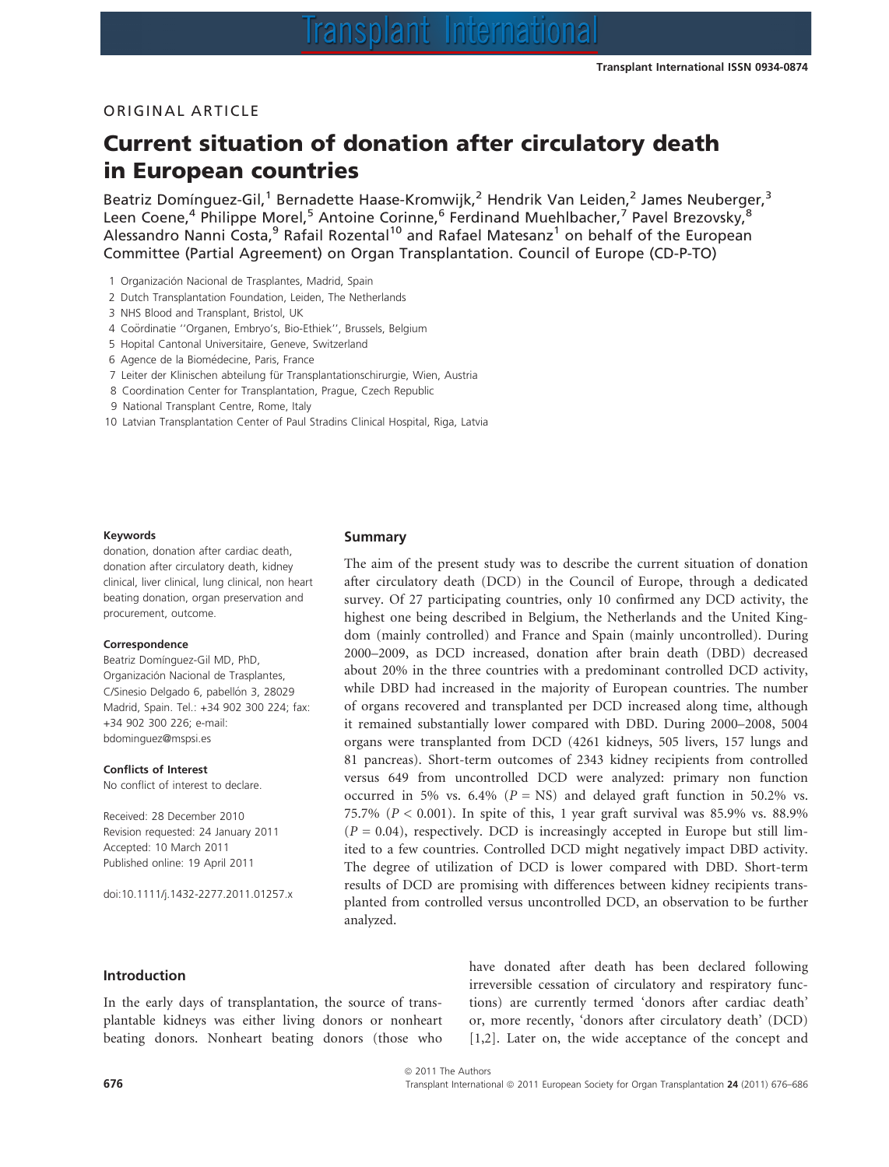# ORIGINAL ARTICLE

# Current situation of donation after circulatory death in European countries

Beatriz Domínguez-Gil,<sup>1</sup> Bernadette Haase-Kromwijk,<sup>2</sup> Hendrik Van Leiden,<sup>2</sup> James Neuberger,<sup>3</sup> Leen Coene,<sup>4</sup> Philippe Morel,<sup>5</sup> Antoine Corinne,<sup>6</sup> Ferdinand Muehlbacher,<sup>7</sup> Pavel Brezovsky, Alessandro Nanni Costa, <sup>9</sup> Rafail Rozental<sup>10</sup> and Rafael Matesanz<sup>1</sup> on behalf of the European Committee (Partial Agreement) on Organ Transplantation. Council of Europe (CD-P-TO)

1 Organización Nacional de Trasplantes, Madrid, Spain

- 2 Dutch Transplantation Foundation, Leiden, The Netherlands
- 3 NHS Blood and Transplant, Bristol, UK
- 4 Coördinatie "Organen, Embryo's, Bio-Ethiek", Brussels, Belgium
- 5 Hopital Cantonal Universitaire, Geneve, Switzerland
- 6 Agence de la Biomédecine, Paris, France
- 7 Leiter der Klinischen abteilung für Transplantationschirurgie, Wien, Austria
- 8 Coordination Center for Transplantation, Prague, Czech Republic
- 9 National Transplant Centre, Rome, Italy
- 10 Latvian Transplantation Center of Paul Stradins Clinical Hospital, Riga, Latvia

#### Keywords

donation, donation after cardiac death, donation after circulatory death, kidney clinical, liver clinical, lung clinical, non heart beating donation, organ preservation and procurement, outcome.

#### Correspondence

Beatriz Domínguez-Gil MD, PhD, Organización Nacional de Trasplantes, C/Sinesio Delgado 6, pabellón 3, 28029 Madrid, Spain. Tel.: +34 902 300 224; fax: +34 902 300 226; e-mail: bdominguez@mspsi.es

#### Conflicts of Interest

No conflict of interest to declare.

Received: 28 December 2010 Revision requested: 24 January 2011 Accepted: 10 March 2011 Published online: 19 April 2011

doi:10.1111/j.1432-2277.2011.01257.x

#### Summary

The aim of the present study was to describe the current situation of donation after circulatory death (DCD) in the Council of Europe, through a dedicated survey. Of 27 participating countries, only 10 confirmed any DCD activity, the highest one being described in Belgium, the Netherlands and the United Kingdom (mainly controlled) and France and Spain (mainly uncontrolled). During 2000–2009, as DCD increased, donation after brain death (DBD) decreased about 20% in the three countries with a predominant controlled DCD activity, while DBD had increased in the majority of European countries. The number of organs recovered and transplanted per DCD increased along time, although it remained substantially lower compared with DBD. During 2000–2008, 5004 organs were transplanted from DCD (4261 kidneys, 505 livers, 157 lungs and 81 pancreas). Short-term outcomes of 2343 kidney recipients from controlled versus 649 from uncontrolled DCD were analyzed: primary non function occurred in 5% vs. 6.4% ( $P = NS$ ) and delayed graft function in 50.2% vs. 75.7% (P < 0.001). In spite of this, 1 year graft survival was 85.9% vs. 88.9%  $(P = 0.04)$ , respectively. DCD is increasingly accepted in Europe but still limited to a few countries. Controlled DCD might negatively impact DBD activity. The degree of utilization of DCD is lower compared with DBD. Short-term results of DCD are promising with differences between kidney recipients transplanted from controlled versus uncontrolled DCD, an observation to be further analyzed.

# Introduction

In the early days of transplantation, the source of transplantable kidneys was either living donors or nonheart beating donors. Nonheart beating donors (those who

have donated after death has been declared following irreversible cessation of circulatory and respiratory functions) are currently termed 'donors after cardiac death' or, more recently, 'donors after circulatory death' (DCD) [1,2]. Later on, the wide acceptance of the concept and

ª 2011 The Authors **676** Transplant International © 2011 European Society for Organ Transplantation 24 (2011) 676–686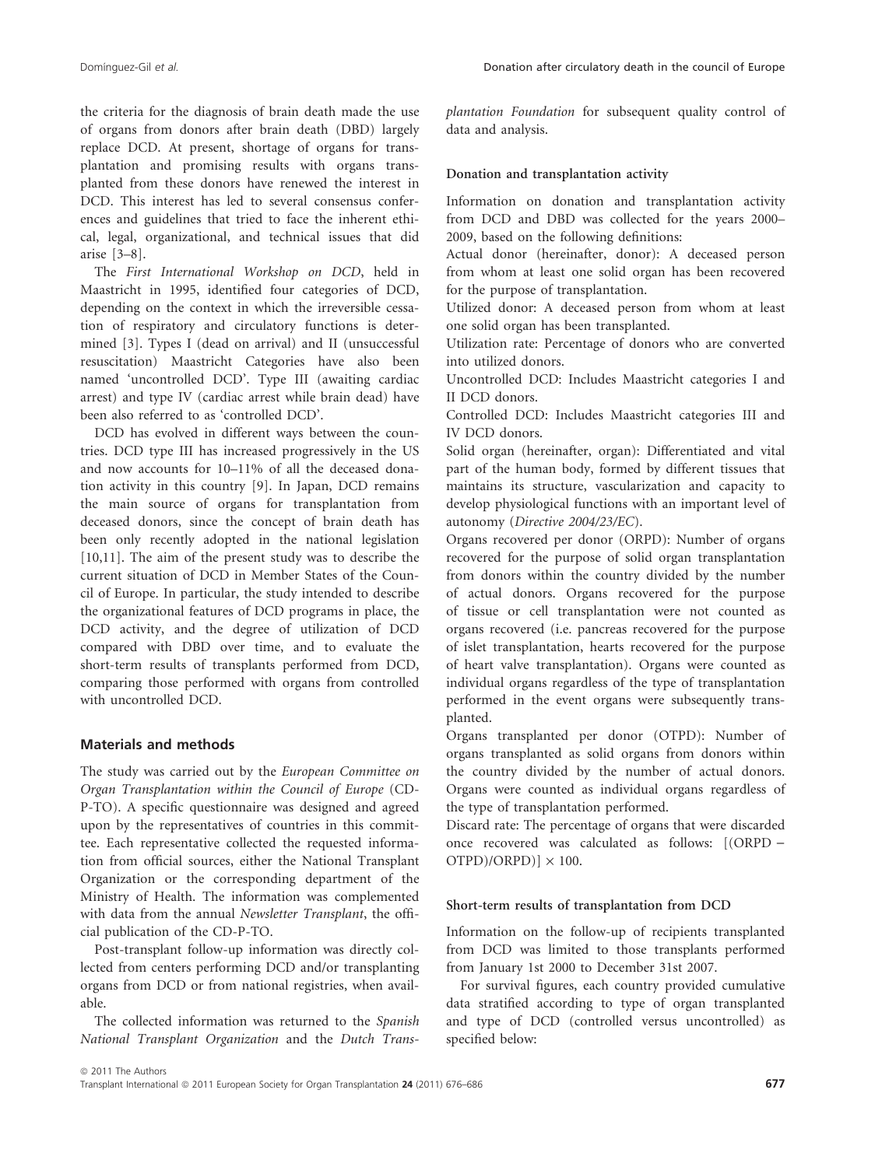the criteria for the diagnosis of brain death made the use of organs from donors after brain death (DBD) largely replace DCD. At present, shortage of organs for transplantation and promising results with organs transplanted from these donors have renewed the interest in DCD. This interest has led to several consensus conferences and guidelines that tried to face the inherent ethical, legal, organizational, and technical issues that did arise [3–8].

The First International Workshop on DCD, held in Maastricht in 1995, identified four categories of DCD, depending on the context in which the irreversible cessation of respiratory and circulatory functions is determined [3]. Types I (dead on arrival) and II (unsuccessful resuscitation) Maastricht Categories have also been named 'uncontrolled DCD'. Type III (awaiting cardiac arrest) and type IV (cardiac arrest while brain dead) have been also referred to as 'controlled DCD'.

DCD has evolved in different ways between the countries. DCD type III has increased progressively in the US and now accounts for 10–11% of all the deceased donation activity in this country [9]. In Japan, DCD remains the main source of organs for transplantation from deceased donors, since the concept of brain death has been only recently adopted in the national legislation [10,11]. The aim of the present study was to describe the current situation of DCD in Member States of the Council of Europe. In particular, the study intended to describe the organizational features of DCD programs in place, the DCD activity, and the degree of utilization of DCD compared with DBD over time, and to evaluate the short-term results of transplants performed from DCD, comparing those performed with organs from controlled with uncontrolled DCD.

## Materials and methods

The study was carried out by the European Committee on Organ Transplantation within the Council of Europe (CD-P-TO). A specific questionnaire was designed and agreed upon by the representatives of countries in this committee. Each representative collected the requested information from official sources, either the National Transplant Organization or the corresponding department of the Ministry of Health. The information was complemented with data from the annual Newsletter Transplant, the official publication of the CD-P-TO.

Post-transplant follow-up information was directly collected from centers performing DCD and/or transplanting organs from DCD or from national registries, when available.

The collected information was returned to the Spanish National Transplant Organization and the Dutch Transplantation Foundation for subsequent quality control of data and analysis.

### Donation and transplantation activity

Information on donation and transplantation activity from DCD and DBD was collected for the years 2000– 2009, based on the following definitions:

Actual donor (hereinafter, donor): A deceased person from whom at least one solid organ has been recovered for the purpose of transplantation.

Utilized donor: A deceased person from whom at least one solid organ has been transplanted.

Utilization rate: Percentage of donors who are converted into utilized donors.

Uncontrolled DCD: Includes Maastricht categories I and II DCD donors.

Controlled DCD: Includes Maastricht categories III and IV DCD donors.

Solid organ (hereinafter, organ): Differentiated and vital part of the human body, formed by different tissues that maintains its structure, vascularization and capacity to develop physiological functions with an important level of autonomy (Directive 2004/23/EC).

Organs recovered per donor (ORPD): Number of organs recovered for the purpose of solid organ transplantation from donors within the country divided by the number of actual donors. Organs recovered for the purpose of tissue or cell transplantation were not counted as organs recovered (i.e. pancreas recovered for the purpose of islet transplantation, hearts recovered for the purpose of heart valve transplantation). Organs were counted as individual organs regardless of the type of transplantation performed in the event organs were subsequently transplanted.

Organs transplanted per donor (OTPD): Number of organs transplanted as solid organs from donors within the country divided by the number of actual donors. Organs were counted as individual organs regardless of the type of transplantation performed.

Discard rate: The percentage of organs that were discarded once recovered was calculated as follows: [(ORPD - $OTPD)/ORPD$ ]  $\times$  100.

### Short-term results of transplantation from DCD

Information on the follow-up of recipients transplanted from DCD was limited to those transplants performed from January 1st 2000 to December 31st 2007.

For survival figures, each country provided cumulative data stratified according to type of organ transplanted and type of DCD (controlled versus uncontrolled) as specified below: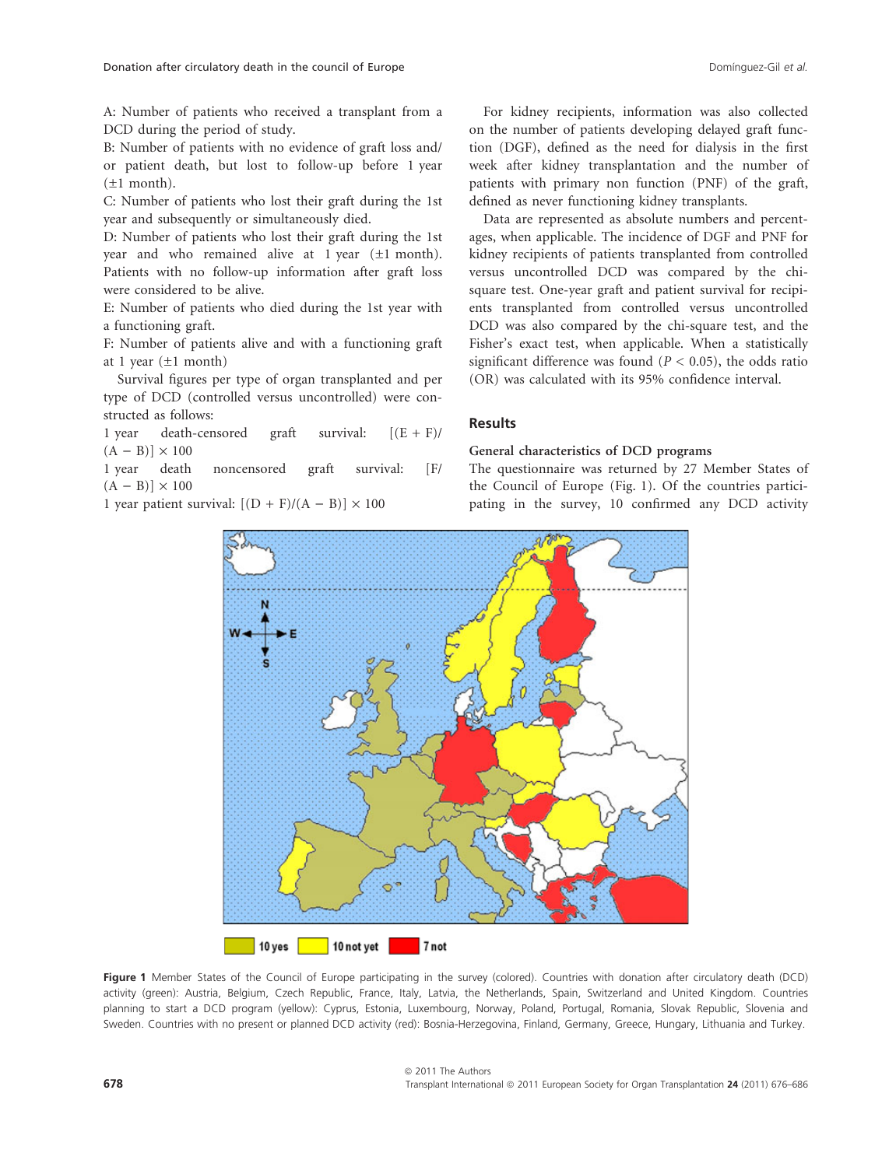A: Number of patients who received a transplant from a DCD during the period of study.

B: Number of patients with no evidence of graft loss and/ or patient death, but lost to follow-up before 1 year  $(\pm 1$  month).

C: Number of patients who lost their graft during the 1st year and subsequently or simultaneously died.

D: Number of patients who lost their graft during the 1st year and who remained alive at 1 year (±1 month). Patients with no follow-up information after graft loss were considered to be alive.

E: Number of patients who died during the 1st year with a functioning graft.

F: Number of patients alive and with a functioning graft at 1 year (±1 month)

Survival figures per type of organ transplanted and per type of DCD (controlled versus uncontrolled) were constructed as follows:

1 year death-censored graft survival:  $[(E + F)/$ 

 $(A - B)] \times 100$ <br>1 year death 1 year death noncensored graft survival: [F/  $(A - B)] \times 100$ 

1 year patient survival:  $[(D + F)/(A - B)] \times 100$ 

For kidney recipients, information was also collected on the number of patients developing delayed graft function (DGF), defined as the need for dialysis in the first week after kidney transplantation and the number of patients with primary non function (PNF) of the graft, defined as never functioning kidney transplants.

Data are represented as absolute numbers and percentages, when applicable. The incidence of DGF and PNF for kidney recipients of patients transplanted from controlled versus uncontrolled DCD was compared by the chisquare test. One-year graft and patient survival for recipients transplanted from controlled versus uncontrolled DCD was also compared by the chi-square test, and the Fisher's exact test, when applicable. When a statistically significant difference was found ( $P < 0.05$ ), the odds ratio (OR) was calculated with its 95% confidence interval.

# Results

#### General characteristics of DCD programs

The questionnaire was returned by 27 Member States of the Council of Europe (Fig. 1). Of the countries participating in the survey, 10 confirmed any DCD activity



Figure 1 Member States of the Council of Europe participating in the survey (colored). Countries with donation after circulatory death (DCD) activity (green): Austria, Belgium, Czech Republic, France, Italy, Latvia, the Netherlands, Spain, Switzerland and United Kingdom. Countries planning to start a DCD program (yellow): Cyprus, Estonia, Luxembourg, Norway, Poland, Portugal, Romania, Slovak Republic, Slovenia and Sweden. Countries with no present or planned DCD activity (red): Bosnia-Herzegovina, Finland, Germany, Greece, Hungary, Lithuania and Turkey.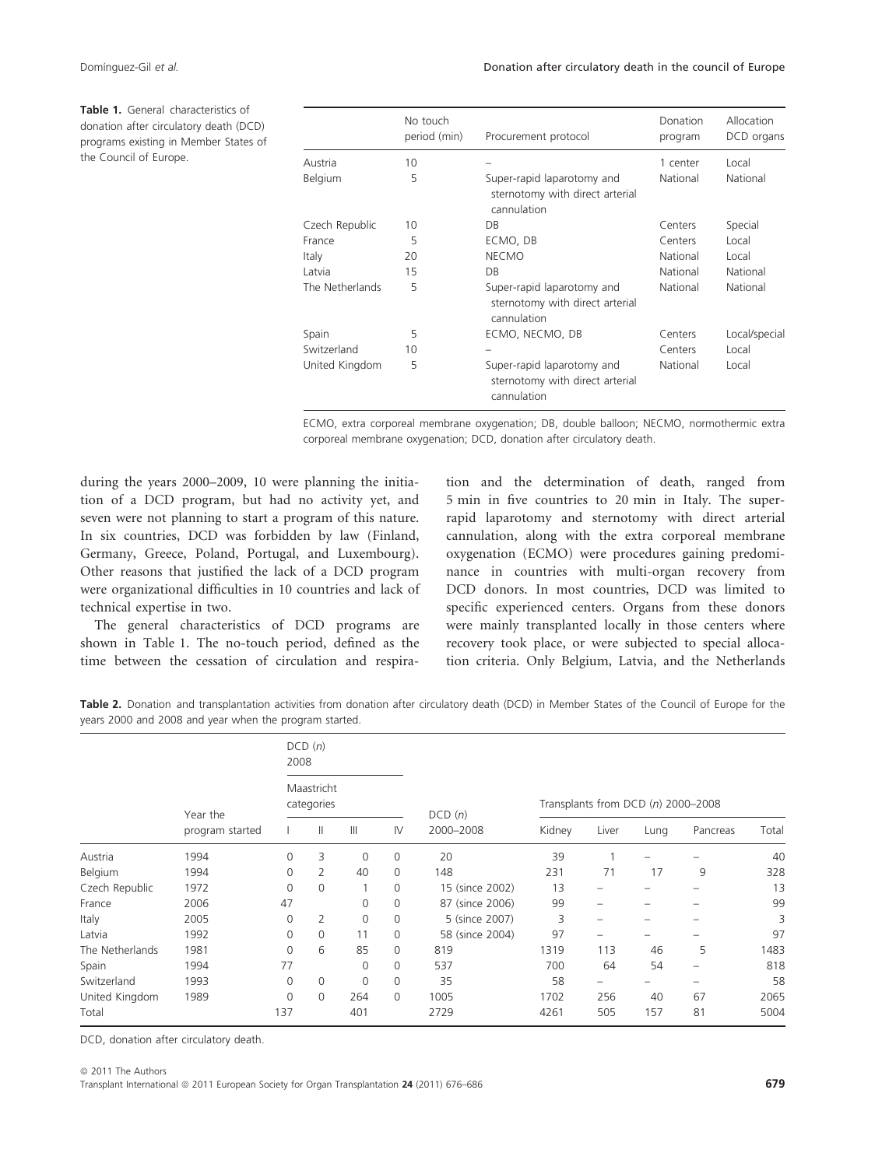Table 1. General characteristics of donation after circulatory death (DCD) programs existing in Member States of the Council of Europe.

|                 | No touch<br>period (min) | Procurement protocol                                                         | Donation<br>program | Allocation<br>DCD organs |
|-----------------|--------------------------|------------------------------------------------------------------------------|---------------------|--------------------------|
| Austria         | 10                       |                                                                              | 1 center            | Local                    |
| Belgium         | 5                        | Super-rapid laparotomy and<br>sternotomy with direct arterial<br>cannulation | National            | National                 |
| Czech Republic  | 10                       | DB                                                                           | Centers             | Special                  |
| France          | 5                        | ECMO, DB                                                                     | Centers             | Local                    |
| Italy           | 20                       | <b>NECMO</b>                                                                 | National            | Local                    |
| Latvia          | 15                       | DB                                                                           | National            | National                 |
| The Netherlands | 5                        | Super-rapid laparotomy and<br>sternotomy with direct arterial<br>cannulation | National            | National                 |
| Spain           | 5                        | ECMO, NECMO, DB                                                              | Centers             | Local/special            |
| Switzerland     | 10                       |                                                                              | Centers             | Local                    |
| United Kingdom  | 5                        | Super-rapid laparotomy and<br>sternotomy with direct arterial<br>cannulation | National            | Local                    |

ECMO, extra corporeal membrane oxygenation; DB, double balloon; NECMO, normothermic extra corporeal membrane oxygenation; DCD, donation after circulatory death.

during the years 2000–2009, 10 were planning the initiation of a DCD program, but had no activity yet, and seven were not planning to start a program of this nature. In six countries, DCD was forbidden by law (Finland, Germany, Greece, Poland, Portugal, and Luxembourg). Other reasons that justified the lack of a DCD program were organizational difficulties in 10 countries and lack of technical expertise in two.

The general characteristics of DCD programs are shown in Table 1. The no-touch period, defined as the time between the cessation of circulation and respiration and the determination of death, ranged from 5 min in five countries to 20 min in Italy. The superrapid laparotomy and sternotomy with direct arterial cannulation, along with the extra corporeal membrane oxygenation (ECMO) were procedures gaining predominance in countries with multi-organ recovery from DCD donors. In most countries, DCD was limited to specific experienced centers. Organs from these donors were mainly transplanted locally in those centers where recovery took place, or were subjected to special allocation criteria. Only Belgium, Latvia, and the Netherlands

Table 2. Donation and transplantation activities from donation after circulatory death (DCD) in Member States of the Council of Europe for the years 2000 and 2008 and year when the program started.

|                 | 2008                        | DCD(n)                   |             |     |               |                 |                                      |       |      |          |       |  |
|-----------------|-----------------------------|--------------------------|-------------|-----|---------------|-----------------|--------------------------------------|-------|------|----------|-------|--|
|                 | Year the<br>program started | Maastricht<br>categories |             |     |               | DCD(n)          | Transplants from DCD $(n)$ 2000-2008 |       |      |          |       |  |
|                 |                             |                          |             | Ш   | $\mathsf{IV}$ | 2000-2008       | Kidney                               | Liver | Lung | Pancreas | Total |  |
| Austria         | 1994                        | 0                        | 3           | 0   | $\mathbf 0$   | 20              | 39                                   |       |      |          | 40    |  |
| Belgium         | 1994                        | 0                        | 2           | 40  | $\mathbf{0}$  | 148             | 231                                  | 71    | 17   | 9        | 328   |  |
| Czech Republic  | 1972                        | 0                        | $\mathbf 0$ | 1   | $\mathbf 0$   | 15 (since 2002) | 13                                   |       |      |          | 13    |  |
| France          | 2006                        | 47                       |             | 0   | $\mathbf 0$   | 87 (since 2006) | 99                                   |       |      |          | 99    |  |
| Italy           | 2005                        | 0                        | 2           | 0   | $\Omega$      | 5 (since 2007)  | 3                                    |       |      |          | 3     |  |
| Latvia          | 1992                        | 0                        | $\Omega$    | 11  | $\Omega$      | 58 (since 2004) | 97                                   |       |      |          | 97    |  |
| The Netherlands | 1981                        | 0                        | 6           | 85  | $\Omega$      | 819             | 1319                                 | 113   | 46   | 5        | 1483  |  |
| Spain           | 1994                        | 77                       |             | 0   | $\Omega$      | 537             | 700                                  | 64    | 54   |          | 818   |  |
| Switzerland     | 1993                        | 0                        | $\Omega$    | 0   | $\Omega$      | 35              | 58                                   |       |      |          | 58    |  |
| United Kingdom  | 1989                        | $\mathbf 0$              | $\Omega$    | 264 | $\Omega$      | 1005            | 1702                                 | 256   | 40   | 67       | 2065  |  |
| Total           |                             | 137                      |             | 401 |               | 2729            | 4261                                 | 505   | 157  | 81       | 5004  |  |

DCD, donation after circulatory death.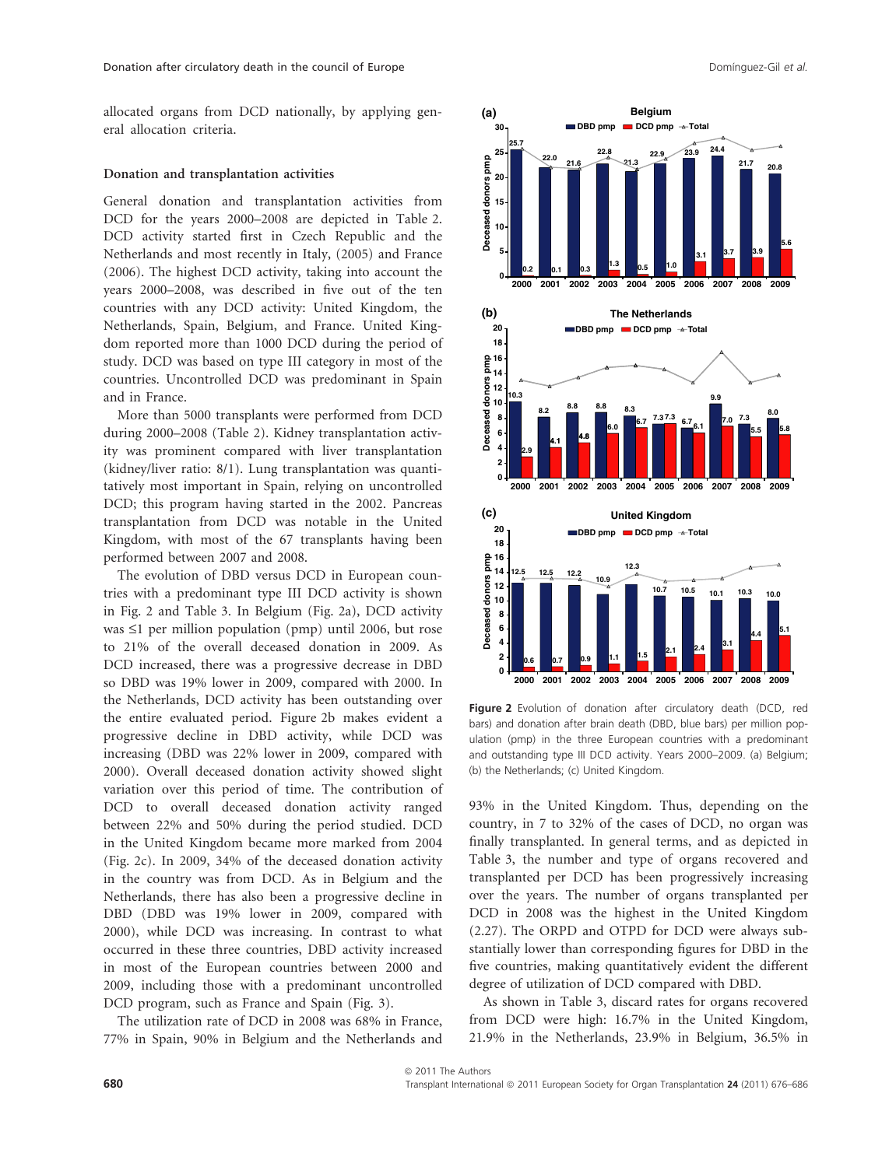allocated organs from DCD nationally, by applying general allocation criteria.

### Donation and transplantation activities

General donation and transplantation activities from DCD for the years 2000–2008 are depicted in Table 2. DCD activity started first in Czech Republic and the Netherlands and most recently in Italy, (2005) and France (2006). The highest DCD activity, taking into account the years 2000–2008, was described in five out of the ten countries with any DCD activity: United Kingdom, the Netherlands, Spain, Belgium, and France. United Kingdom reported more than 1000 DCD during the period of study. DCD was based on type III category in most of the countries. Uncontrolled DCD was predominant in Spain and in France.

More than 5000 transplants were performed from DCD during 2000–2008 (Table 2). Kidney transplantation activity was prominent compared with liver transplantation (kidney/liver ratio: 8/1). Lung transplantation was quantitatively most important in Spain, relying on uncontrolled DCD; this program having started in the 2002. Pancreas transplantation from DCD was notable in the United Kingdom, with most of the 67 transplants having been performed between 2007 and 2008.

The evolution of DBD versus DCD in European countries with a predominant type III DCD activity is shown in Fig. 2 and Table 3. In Belgium (Fig. 2a), DCD activity was  $\leq 1$  per million population (pmp) until 2006, but rose to 21% of the overall deceased donation in 2009. As DCD increased, there was a progressive decrease in DBD so DBD was 19% lower in 2009, compared with 2000. In the Netherlands, DCD activity has been outstanding over the entire evaluated period. Figure 2b makes evident a progressive decline in DBD activity, while DCD was increasing (DBD was 22% lower in 2009, compared with 2000). Overall deceased donation activity showed slight variation over this period of time. The contribution of DCD to overall deceased donation activity ranged between 22% and 50% during the period studied. DCD in the United Kingdom became more marked from 2004 (Fig. 2c). In 2009, 34% of the deceased donation activity in the country was from DCD. As in Belgium and the Netherlands, there has also been a progressive decline in DBD (DBD was 19% lower in 2009, compared with 2000), while DCD was increasing. In contrast to what occurred in these three countries, DBD activity increased in most of the European countries between 2000 and 2009, including those with a predominant uncontrolled DCD program, such as France and Spain (Fig. 3).

The utilization rate of DCD in 2008 was 68% in France, 77% in Spain, 90% in Belgium and the Netherlands and



Figure 2 Evolution of donation after circulatory death (DCD, red bars) and donation after brain death (DBD, blue bars) per million population (pmp) in the three European countries with a predominant and outstanding type III DCD activity. Years 2000–2009. (a) Belgium; (b) the Netherlands; (c) United Kingdom.

93% in the United Kingdom. Thus, depending on the country, in 7 to 32% of the cases of DCD, no organ was finally transplanted. In general terms, and as depicted in Table 3, the number and type of organs recovered and transplanted per DCD has been progressively increasing over the years. The number of organs transplanted per DCD in 2008 was the highest in the United Kingdom (2.27). The ORPD and OTPD for DCD were always substantially lower than corresponding figures for DBD in the five countries, making quantitatively evident the different degree of utilization of DCD compared with DBD.

As shown in Table 3, discard rates for organs recovered from DCD were high: 16.7% in the United Kingdom, 21.9% in the Netherlands, 23.9% in Belgium, 36.5% in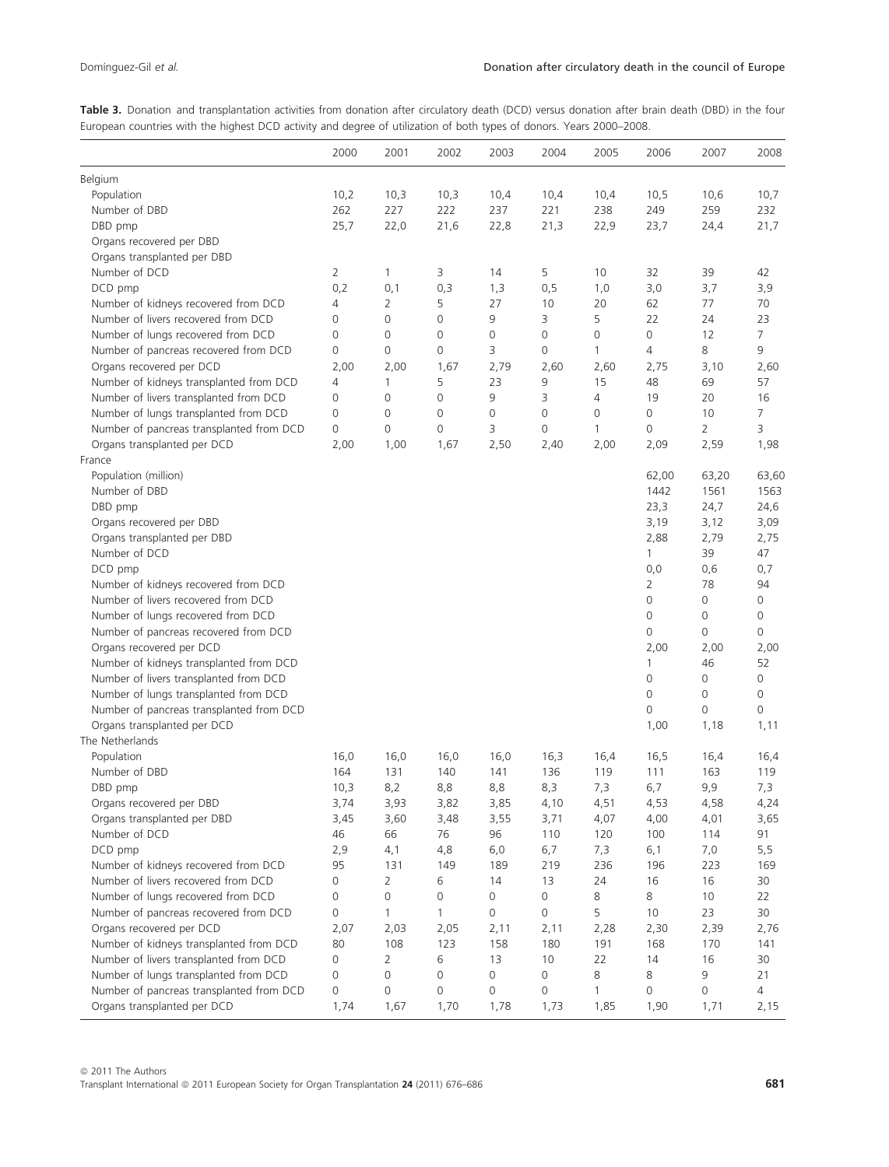Table 3. Donation and transplantation activities from donation after circulatory death (DCD) versus donation after brain death (DBD) in the four European countries with the highest DCD activity and degree of utilization of both types of donors. Years 2000–2008.

|                                              | 2000 | 2001        | 2002         | 2003                | 2004        | 2005        | 2006  | 2007                | 2008        |
|----------------------------------------------|------|-------------|--------------|---------------------|-------------|-------------|-------|---------------------|-------------|
| Belgium                                      |      |             |              |                     |             |             |       |                     |             |
| Population                                   | 10,2 | 10,3        | 10,3         | 10,4                | 10,4        | 10,4        | 10,5  | 10,6                | 10,7        |
| Number of DBD                                | 262  | 227         | 222          | 237                 | 221         | 238         | 249   | 259                 | 232         |
| DBD pmp                                      | 25,7 | 22,0        | 21,6         | 22,8                | 21,3        | 22,9        | 23,7  | 24,4                | 21,7        |
| Organs recovered per DBD                     |      |             |              |                     |             |             |       |                     |             |
| Organs transplanted per DBD                  |      |             |              |                     |             |             |       |                     |             |
| Number of DCD                                | 2    | 1           | 3            | 14                  | 5           | 10          | 32    | 39                  | 42          |
| DCD pmp                                      | 0,2  | 0,1         | 0,3          | 1,3                 | 0,5         | 1,0         | 3,0   | 3,7                 | 3,9         |
| Number of kidneys recovered from DCD         | 4    | 2           | 5            | 27                  | 10          | 20          | 62    | 77                  | 70          |
| Number of livers recovered from DCD          | 0    | $\mathbf 0$ | 0            | 9                   | 3           | 5           | 22    | 24                  | 23          |
| Number of lungs recovered from DCD           | 0    | $\mathbf 0$ | $\mathbf 0$  | $\mathbf 0$         | 0           | $\mathbf 0$ | 0     | 12                  | 7           |
| Number of pancreas recovered from DCD        | 0    | $\mathbf 0$ | $\mathbf 0$  | 3                   | $\mathbf 0$ | 1           | 4     | 8                   | 9           |
| Organs recovered per DCD                     | 2,00 | 2,00        | 1,67         | 2,79                | 2,60        | 2,60        | 2,75  | 3,10                | 2,60        |
| Number of kidneys transplanted from DCD      | 4    | 1           | 5            | 23                  | 9           | 15          | 48    | 69                  | 57          |
| Number of livers transplanted from DCD       | 0    | $\mathbf 0$ | 0            | 9                   | 3           | 4           | 19    | 20                  | 16          |
| Number of lungs transplanted from DCD        | 0    | $\mathbf 0$ | $\mathbf 0$  | $\mathsf{O}\xspace$ | $\mathbf 0$ | 0           | 0     | 10                  | 7           |
| Number of pancreas transplanted from DCD     | 0    | $\mathbf 0$ | $\mathbf 0$  | 3                   | 0           | 1           | 0     | $\overline{2}$      | 3           |
| Organs transplanted per DCD                  | 2,00 | 1,00        | 1,67         | 2,50                | 2,40        | 2,00        | 2,09  | 2,59                | 1,98        |
| France                                       |      |             |              |                     |             |             |       |                     |             |
| Population (million)                         |      |             |              |                     |             |             | 62,00 | 63,20               | 63,60       |
| Number of DBD                                |      |             |              |                     |             |             | 1442  | 1561                | 1563        |
| DBD pmp                                      |      |             |              |                     |             |             | 23,3  | 24,7                | 24,6        |
| Organs recovered per DBD                     |      |             |              |                     |             |             | 3,19  | 3,12                | 3,09        |
| Organs transplanted per DBD                  |      |             |              |                     |             |             | 2,88  | 2,79                | 2,75        |
| Number of DCD                                |      |             |              |                     |             |             | 1     | 39                  | 47          |
| DCD pmp                                      |      |             |              |                     |             |             | 0,0   | 0,6                 | 0,7         |
| Number of kidneys recovered from DCD         |      |             |              |                     |             |             | 2     | 78                  | 94          |
| Number of livers recovered from DCD          |      |             |              |                     |             |             | 0     | 0                   | 0           |
| Number of lungs recovered from DCD           |      |             |              |                     |             |             | 0     | $\mathbf 0$         | 0           |
| Number of pancreas recovered from DCD        |      |             |              |                     |             |             | 0     | 0                   | 0           |
| Organs recovered per DCD                     |      |             |              |                     |             |             | 2,00  | 2,00                | 2,00        |
| Number of kidneys transplanted from DCD      |      |             |              |                     |             |             | 1     | 46                  | 52          |
| Number of livers transplanted from DCD       |      |             |              |                     |             |             | 0     | $\mathsf{O}\xspace$ | 0           |
| Number of lungs transplanted from DCD        |      |             |              |                     |             |             | 0     | 0                   | 0           |
| Number of pancreas transplanted from DCD     |      |             |              |                     |             |             | 0     | $\mathbf 0$         | 0           |
| Organs transplanted per DCD                  |      |             |              |                     |             |             | 1,00  | 1,18                | 1,11        |
| The Netherlands                              |      |             |              |                     |             |             |       |                     |             |
| Population                                   | 16,0 | 16,0        |              | 16,0                | 16,3        | 16,4        | 16,5  |                     |             |
| Number of DBD                                | 164  | 131         | 16,0<br>140  | 141                 | 136         | 119         | 111   | 16,4<br>163         | 16,4<br>119 |
| DBD pmp                                      | 10,3 | 8,2         | 8,8          | 8,8                 | 8,3         | 7,3         | 6,7   | 9,9                 | 7,3         |
|                                              |      |             |              |                     |             |             |       |                     |             |
| Organs recovered per DBD                     | 3,74 | 3,93        | 3,82         | 3,85                | 4,10        | 4,51        | 4,53  | 4,58                | 4,24        |
| Organs transplanted per DBD<br>Number of DCD | 3,45 | 3,60        | 3,48         | 3,55                | 3,71        | 4,07        | 4,00  | 4,01                | 3,65        |
|                                              | 46   | 66          | 76           | 96                  | 110         | 120         | 100   | 114                 | 91          |
| DCD pmp                                      | 2,9  | 4,1         | 4,8          | 6,0                 | 6,7         | 7,3         | 6,1   | 7,0                 | 5,5         |
| Number of kidneys recovered from DCD         | 95   | 131         | 149          | 189                 | 219         | 236         | 196   | 223                 | 169         |
| Number of livers recovered from DCD          | 0    | 2           | 6            | 14                  | 13          | 24          | 16    | 16                  | 30          |
| Number of lungs recovered from DCD           | 0    | $\mathsf 0$ | 0            | 0                   | 0           | 8           | 8     | 10                  | 22          |
| Number of pancreas recovered from DCD        | 0    | 1           | $\mathbf{1}$ | 0                   | 0           | 5           | 10    | 23                  | 30          |
| Organs recovered per DCD                     | 2,07 | 2,03        | 2,05         | 2,11                | 2,11        | 2,28        | 2,30  | 2,39                | 2,76        |
| Number of kidneys transplanted from DCD      | 80   | 108         | 123          | 158                 | 180         | 191         | 168   | 170                 | 141         |
| Number of livers transplanted from DCD       | 0    | 2           | 6            | 13                  | 10          | 22          | 14    | 16                  | 30          |
| Number of lungs transplanted from DCD        | 0    | $\mathsf 0$ | 0            | 0                   | 0           | 8           | 8     | 9                   | 21          |
| Number of pancreas transplanted from DCD     | 0    | 0           | 0            | 0                   | 0           | 1           | 0     | 0                   | 4           |
| Organs transplanted per DCD                  | 1,74 | 1,67        | 1,70         | 1,78                | 1,73        | 1,85        | 1,90  | 1,71                | 2,15        |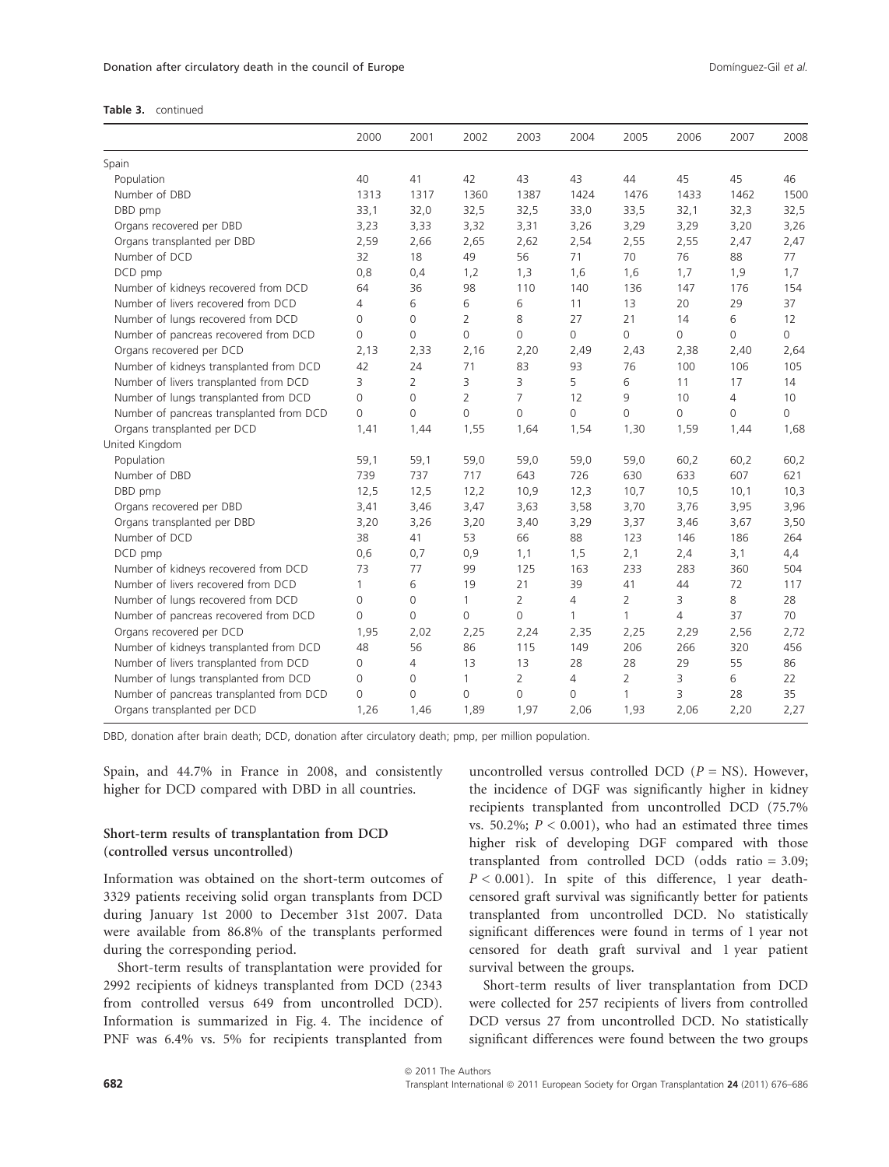## Table 3. continued

|                                          | 2000           | 2001           | 2002           | 2003           | 2004           | 2005           | 2006 | 2007           | 2008 |
|------------------------------------------|----------------|----------------|----------------|----------------|----------------|----------------|------|----------------|------|
| Spain                                    |                |                |                |                |                |                |      |                |      |
| Population                               | 40             | 41             | 42             | 43             | 43             | 44             | 45   | 45             | 46   |
| Number of DBD                            | 1313           | 1317           | 1360           | 1387           | 1424           | 1476           | 1433 | 1462           | 1500 |
| DBD pmp                                  | 33,1           | 32,0           | 32,5           | 32,5           | 33,0           | 33,5           | 32,1 | 32,3           | 32,5 |
| Organs recovered per DBD                 | 3,23           | 3,33           | 3,32           | 3,31           | 3,26           | 3,29           | 3,29 | 3,20           | 3,26 |
| Organs transplanted per DBD              | 2,59           | 2,66           | 2,65           | 2,62           | 2,54           | 2,55           | 2,55 | 2,47           | 2,47 |
| Number of DCD                            | 32             | 18             | 49             | 56             | 71             | 70             | 76   | 88             | 77   |
| DCD pmp                                  | 0,8            | 0,4            | 1,2            | 1,3            | 1,6            | 1,6            | 1,7  | 1,9            | 1,7  |
| Number of kidneys recovered from DCD     | 64             | 36             | 98             | 110            | 140            | 136            | 147  | 176            | 154  |
| Number of livers recovered from DCD      | 4              | 6              | 6              | 6              | 11             | 13             | 20   | 29             | 37   |
| Number of lungs recovered from DCD       | 0              | 0              | $\overline{2}$ | 8              | 27             | 21             | 14   | 6              | 12   |
| Number of pancreas recovered from DCD    | $\overline{0}$ | 0              | $\mathbf 0$    | 0              | $\circ$        | $\overline{0}$ | 0    | $\overline{0}$ | 0    |
| Organs recovered per DCD                 | 2,13           | 2,33           | 2,16           | 2,20           | 2,49           | 2,43           | 2,38 | 2,40           | 2,64 |
| Number of kidneys transplanted from DCD  | 42             | 24             | 71             | 83             | 93             | 76             | 100  | 106            | 105  |
| Number of livers transplanted from DCD   | 3              | $\overline{2}$ | 3              | 3              | 5              | 6              | 11   | 17             | 14   |
| Number of lungs transplanted from DCD    | $\overline{0}$ | $\Omega$       | $\overline{2}$ | $\overline{7}$ | 12             | 9              | 10   | $\overline{4}$ | 10   |
| Number of pancreas transplanted from DCD | 0              | 0              | 0              | 0              | 0              | 0              | 0    | 0              | 0    |
| Organs transplanted per DCD              | 1,41           | 1,44           | 1,55           | 1,64           | 1,54           | 1,30           | 1,59 | 1,44           | 1,68 |
| United Kingdom                           |                |                |                |                |                |                |      |                |      |
| Population                               | 59,1           | 59,1           | 59,0           | 59,0           | 59,0           | 59,0           | 60,2 | 60,2           | 60,2 |
| Number of DBD                            | 739            | 737            | 717            | 643            | 726            | 630            | 633  | 607            | 621  |
| DBD pmp                                  | 12,5           | 12,5           | 12,2           | 10,9           | 12,3           | 10,7           | 10,5 | 10,1           | 10,3 |
| Organs recovered per DBD                 | 3,41           | 3,46           | 3,47           | 3,63           | 3,58           | 3,70           | 3,76 | 3,95           | 3,96 |
| Organs transplanted per DBD              | 3,20           | 3,26           | 3,20           | 3,40           | 3,29           | 3,37           | 3,46 | 3,67           | 3,50 |
| Number of DCD                            | 38             | 41             | 53             | 66             | 88             | 123            | 146  | 186            | 264  |
| DCD pmp                                  | 0,6            | 0,7            | 0,9            | 1,1            | 1,5            | 2,1            | 2,4  | 3,1            | 4,4  |
| Number of kidneys recovered from DCD     | 73             | 77             | 99             | 125            | 163            | 233            | 283  | 360            | 504  |
| Number of livers recovered from DCD      | $\mathbf{1}$   | 6              | 19             | 21             | 39             | 41             | 44   | 72             | 117  |
| Number of lungs recovered from DCD       | 0              | 0              | 1              | $\overline{2}$ | $\overline{4}$ | $\overline{2}$ | 3    | 8              | 28   |
| Number of pancreas recovered from DCD    | $\overline{0}$ | 0              | $\overline{0}$ | $\overline{0}$ | 1              | 1              | 4    | 37             | 70   |
| Organs recovered per DCD                 | 1,95           | 2,02           | 2,25           | 2,24           | 2,35           | 2,25           | 2,29 | 2,56           | 2,72 |
| Number of kidneys transplanted from DCD  | 48             | 56             | 86             | 115            | 149            | 206            | 266  | 320            | 456  |
| Number of livers transplanted from DCD   | $\overline{0}$ | 4              | 13             | 13             | 28             | 28             | 29   | 55             | 86   |
| Number of lungs transplanted from DCD    | $\overline{0}$ | $\overline{0}$ | 1              | $\overline{2}$ | $\overline{4}$ | $\overline{2}$ | 3    | 6              | 22   |
| Number of pancreas transplanted from DCD | 0              | $\overline{0}$ | $\overline{0}$ | 0              | $\mathbf{0}$   | $\mathbf{1}$   | 3    | 28             | 35   |
| Organs transplanted per DCD              | 1,26           | 1,46           | 1,89           | 1,97           | 2,06           | 1,93           | 2,06 | 2,20           | 2,27 |

DBD, donation after brain death; DCD, donation after circulatory death; pmp, per million population.

Spain, and 44.7% in France in 2008, and consistently higher for DCD compared with DBD in all countries.

# Short-term results of transplantation from DCD (controlled versus uncontrolled)

Information was obtained on the short-term outcomes of 3329 patients receiving solid organ transplants from DCD during January 1st 2000 to December 31st 2007. Data were available from 86.8% of the transplants performed during the corresponding period.

Short-term results of transplantation were provided for 2992 recipients of kidneys transplanted from DCD (2343 from controlled versus 649 from uncontrolled DCD). Information is summarized in Fig. 4. The incidence of PNF was 6.4% vs. 5% for recipients transplanted from uncontrolled versus controlled DCD ( $P = NS$ ). However, the incidence of DGF was significantly higher in kidney recipients transplanted from uncontrolled DCD (75.7% vs. 50.2%;  $P < 0.001$ ), who had an estimated three times higher risk of developing DGF compared with those transplanted from controlled DCD (odds ratio = 3.09;  $P < 0.001$ ). In spite of this difference, 1 year deathcensored graft survival was significantly better for patients transplanted from uncontrolled DCD. No statistically significant differences were found in terms of 1 year not censored for death graft survival and 1 year patient survival between the groups.

Short-term results of liver transplantation from DCD were collected for 257 recipients of livers from controlled DCD versus 27 from uncontrolled DCD. No statistically significant differences were found between the two groups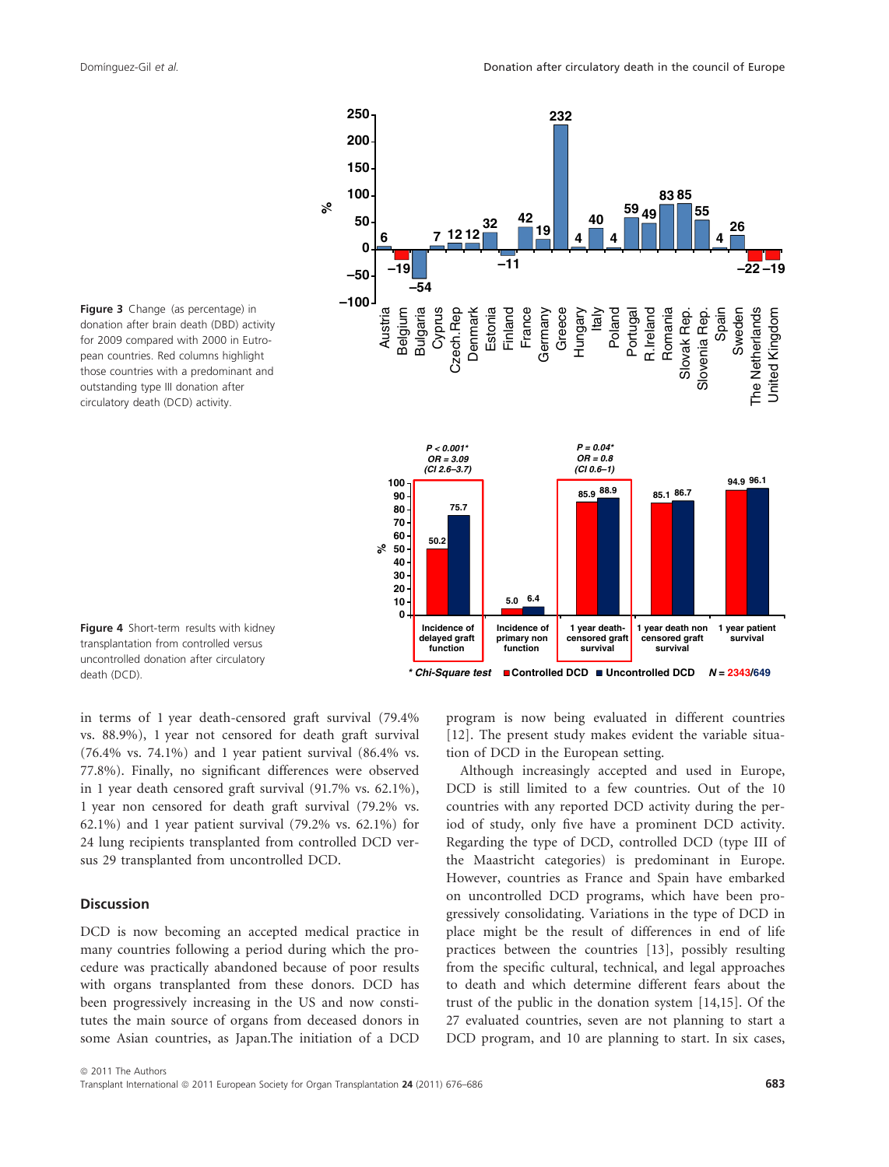



Figure 4 Short-term results with kidney transplantation from controlled versus uncontrolled donation after circulatory death (DCD).

in terms of 1 year death-censored graft survival (79.4% vs. 88.9%), 1 year not censored for death graft survival (76.4% vs. 74.1%) and 1 year patient survival (86.4% vs. 77.8%). Finally, no significant differences were observed in 1 year death censored graft survival (91.7% vs. 62.1%), 1 year non censored for death graft survival (79.2% vs. 62.1%) and 1 year patient survival (79.2% vs. 62.1%) for 24 lung recipients transplanted from controlled DCD versus 29 transplanted from uncontrolled DCD.

# Discussion

DCD is now becoming an accepted medical practice in many countries following a period during which the procedure was practically abandoned because of poor results with organs transplanted from these donors. DCD has been progressively increasing in the US and now constitutes the main source of organs from deceased donors in some Asian countries, as Japan.The initiation of a DCD

program is now being evaluated in different countries [12]. The present study makes evident the variable situation of DCD in the European setting.

Although increasingly accepted and used in Europe, DCD is still limited to a few countries. Out of the 10 countries with any reported DCD activity during the period of study, only five have a prominent DCD activity. Regarding the type of DCD, controlled DCD (type III of the Maastricht categories) is predominant in Europe. However, countries as France and Spain have embarked on uncontrolled DCD programs, which have been progressively consolidating. Variations in the type of DCD in place might be the result of differences in end of life practices between the countries [13], possibly resulting from the specific cultural, technical, and legal approaches to death and which determine different fears about the trust of the public in the donation system [14,15]. Of the 27 evaluated countries, seven are not planning to start a DCD program, and 10 are planning to start. In six cases,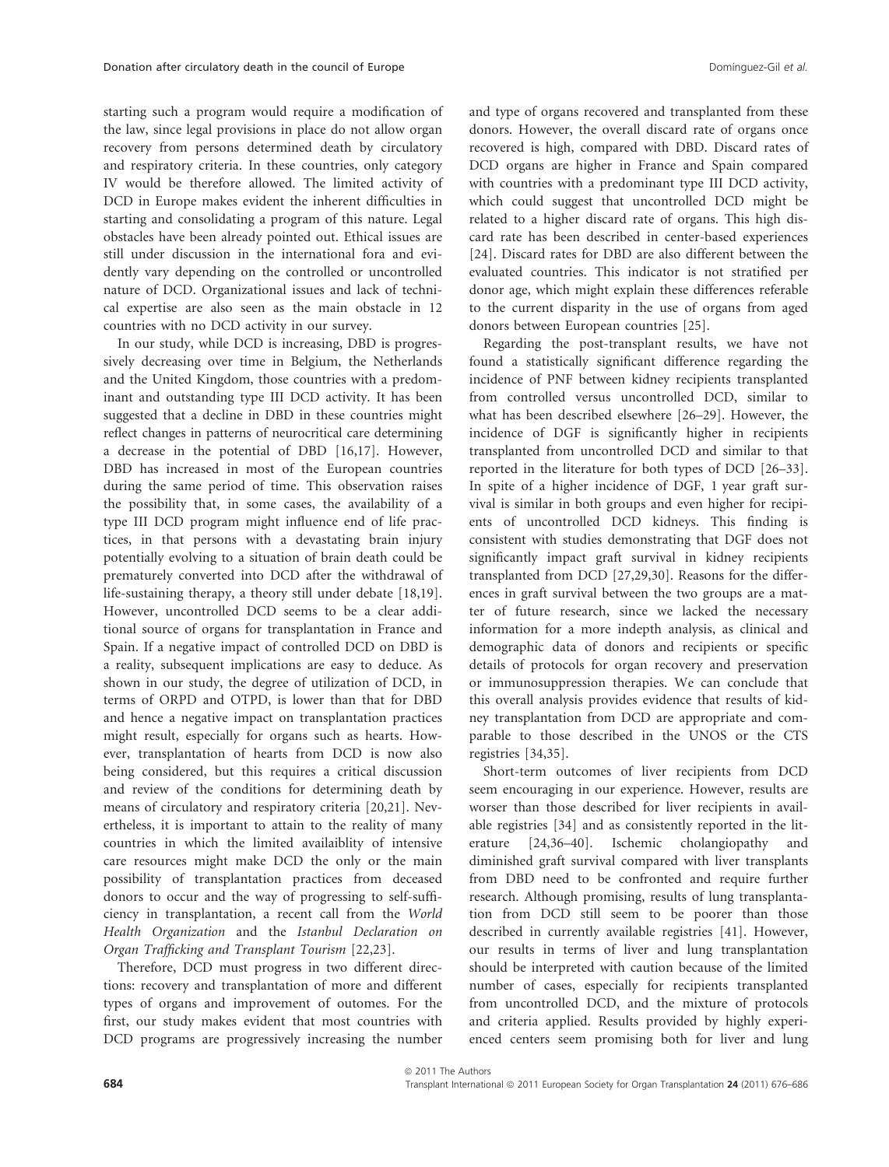starting such a program would require a modification of the law, since legal provisions in place do not allow organ recovery from persons determined death by circulatory and respiratory criteria. In these countries, only category IV would be therefore allowed. The limited activity of DCD in Europe makes evident the inherent difficulties in starting and consolidating a program of this nature. Legal obstacles have been already pointed out. Ethical issues are still under discussion in the international fora and evidently vary depending on the controlled or uncontrolled nature of DCD. Organizational issues and lack of technical expertise are also seen as the main obstacle in 12 countries with no DCD activity in our survey.

In our study, while DCD is increasing, DBD is progressively decreasing over time in Belgium, the Netherlands and the United Kingdom, those countries with a predominant and outstanding type III DCD activity. It has been suggested that a decline in DBD in these countries might reflect changes in patterns of neurocritical care determining a decrease in the potential of DBD [16,17]. However, DBD has increased in most of the European countries during the same period of time. This observation raises the possibility that, in some cases, the availability of a type III DCD program might influence end of life practices, in that persons with a devastating brain injury potentially evolving to a situation of brain death could be prematurely converted into DCD after the withdrawal of life-sustaining therapy, a theory still under debate [18,19]. However, uncontrolled DCD seems to be a clear additional source of organs for transplantation in France and Spain. If a negative impact of controlled DCD on DBD is a reality, subsequent implications are easy to deduce. As shown in our study, the degree of utilization of DCD, in terms of ORPD and OTPD, is lower than that for DBD and hence a negative impact on transplantation practices might result, especially for organs such as hearts. However, transplantation of hearts from DCD is now also being considered, but this requires a critical discussion and review of the conditions for determining death by means of circulatory and respiratory criteria [20,21]. Nevertheless, it is important to attain to the reality of many countries in which the limited availaiblity of intensive care resources might make DCD the only or the main possibility of transplantation practices from deceased donors to occur and the way of progressing to self-sufficiency in transplantation, a recent call from the World Health Organization and the Istanbul Declaration on Organ Trafficking and Transplant Tourism [22,23].

Therefore, DCD must progress in two different directions: recovery and transplantation of more and different types of organs and improvement of outomes. For the first, our study makes evident that most countries with DCD programs are progressively increasing the number and type of organs recovered and transplanted from these donors. However, the overall discard rate of organs once recovered is high, compared with DBD. Discard rates of DCD organs are higher in France and Spain compared with countries with a predominant type III DCD activity, which could suggest that uncontrolled DCD might be related to a higher discard rate of organs. This high discard rate has been described in center-based experiences [24]. Discard rates for DBD are also different between the evaluated countries. This indicator is not stratified per donor age, which might explain these differences referable to the current disparity in the use of organs from aged donors between European countries [25].

Regarding the post-transplant results, we have not found a statistically significant difference regarding the incidence of PNF between kidney recipients transplanted from controlled versus uncontrolled DCD, similar to what has been described elsewhere [26–29]. However, the incidence of DGF is significantly higher in recipients transplanted from uncontrolled DCD and similar to that reported in the literature for both types of DCD [26–33]. In spite of a higher incidence of DGF, 1 year graft survival is similar in both groups and even higher for recipients of uncontrolled DCD kidneys. This finding is consistent with studies demonstrating that DGF does not significantly impact graft survival in kidney recipients transplanted from DCD [27,29,30]. Reasons for the differences in graft survival between the two groups are a matter of future research, since we lacked the necessary information for a more indepth analysis, as clinical and demographic data of donors and recipients or specific details of protocols for organ recovery and preservation or immunosuppression therapies. We can conclude that this overall analysis provides evidence that results of kidney transplantation from DCD are appropriate and comparable to those described in the UNOS or the CTS registries [34,35].

Short-term outcomes of liver recipients from DCD seem encouraging in our experience. However, results are worser than those described for liver recipients in available registries [34] and as consistently reported in the literature [24,36–40]. Ischemic cholangiopathy and diminished graft survival compared with liver transplants from DBD need to be confronted and require further research. Although promising, results of lung transplantation from DCD still seem to be poorer than those described in currently available registries [41]. However, our results in terms of liver and lung transplantation should be interpreted with caution because of the limited number of cases, especially for recipients transplanted from uncontrolled DCD, and the mixture of protocols and criteria applied. Results provided by highly experienced centers seem promising both for liver and lung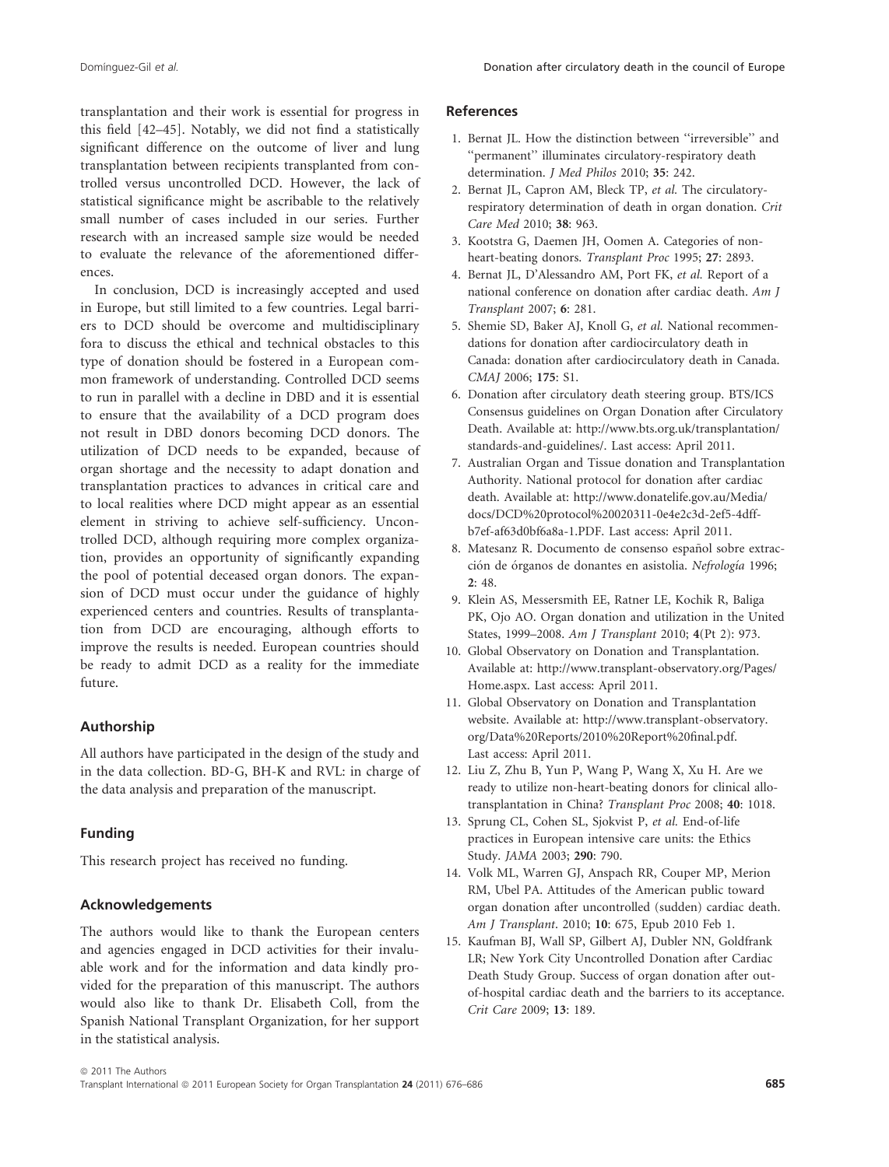transplantation and their work is essential for progress in this field [42–45]. Notably, we did not find a statistically significant difference on the outcome of liver and lung transplantation between recipients transplanted from controlled versus uncontrolled DCD. However, the lack of statistical significance might be ascribable to the relatively small number of cases included in our series. Further research with an increased sample size would be needed to evaluate the relevance of the aforementioned differences.

In conclusion, DCD is increasingly accepted and used in Europe, but still limited to a few countries. Legal barriers to DCD should be overcome and multidisciplinary fora to discuss the ethical and technical obstacles to this type of donation should be fostered in a European common framework of understanding. Controlled DCD seems to run in parallel with a decline in DBD and it is essential to ensure that the availability of a DCD program does not result in DBD donors becoming DCD donors. The utilization of DCD needs to be expanded, because of organ shortage and the necessity to adapt donation and transplantation practices to advances in critical care and to local realities where DCD might appear as an essential element in striving to achieve self-sufficiency. Uncontrolled DCD, although requiring more complex organization, provides an opportunity of significantly expanding the pool of potential deceased organ donors. The expansion of DCD must occur under the guidance of highly experienced centers and countries. Results of transplantation from DCD are encouraging, although efforts to improve the results is needed. European countries should be ready to admit DCD as a reality for the immediate future.

## Authorship

All authors have participated in the design of the study and in the data collection. BD-G, BH-K and RVL: in charge of the data analysis and preparation of the manuscript.

# Funding

This research project has received no funding.

# Acknowledgements

The authors would like to thank the European centers and agencies engaged in DCD activities for their invaluable work and for the information and data kindly provided for the preparation of this manuscript. The authors would also like to thank Dr. Elisabeth Coll, from the Spanish National Transplant Organization, for her support in the statistical analysis.

## References

- 1. Bernat JL. How the distinction between ''irreversible'' and ''permanent'' illuminates circulatory-respiratory death determination. J Med Philos 2010; 35: 242.
- 2. Bernat JL, Capron AM, Bleck TP, et al. The circulatoryrespiratory determination of death in organ donation. Crit Care Med 2010; 38: 963.
- 3. Kootstra G, Daemen JH, Oomen A. Categories of nonheart-beating donors. Transplant Proc 1995; 27: 2893.
- 4. Bernat JL, D'Alessandro AM, Port FK, et al. Report of a national conference on donation after cardiac death. Am J Transplant 2007; 6: 281.
- 5. Shemie SD, Baker AJ, Knoll G, et al. National recommendations for donation after cardiocirculatory death in Canada: donation after cardiocirculatory death in Canada. CMAJ 2006; 175: S1.
- 6. Donation after circulatory death steering group. BTS/ICS Consensus guidelines on Organ Donation after Circulatory Death. Available at: http://www.bts.org.uk/transplantation/ standards-and-guidelines/. Last access: April 2011.
- 7. Australian Organ and Tissue donation and Transplantation Authority. National protocol for donation after cardiac death. Available at: http://www.donatelife.gov.au/Media/ docs/DCD%20protocol%20020311-0e4e2c3d-2ef5-4dffb7ef-af63d0bf6a8a-1.PDF. Last access: April 2011.
- 8. Matesanz R. Documento de consenso español sobre extracción de órganos de donantes en asistolia. Nefrología 1996; 2: 48.
- 9. Klein AS, Messersmith EE, Ratner LE, Kochik R, Baliga PK, Ojo AO. Organ donation and utilization in the United States, 1999–2008. Am J Transplant 2010; 4(Pt 2): 973.
- 10. Global Observatory on Donation and Transplantation. Available at: http://www.transplant-observatory.org/Pages/ Home.aspx. Last access: April 2011.
- 11. Global Observatory on Donation and Transplantation website. Available at: http://www.transplant-observatory. org/Data%20Reports/2010%20Report%20final.pdf. Last access: April 2011.
- 12. Liu Z, Zhu B, Yun P, Wang P, Wang X, Xu H. Are we ready to utilize non-heart-beating donors for clinical allotransplantation in China? Transplant Proc 2008; 40: 1018.
- 13. Sprung CL, Cohen SL, Sjokvist P, et al. End-of-life practices in European intensive care units: the Ethics Study. JAMA 2003; 290: 790.
- 14. Volk ML, Warren GJ, Anspach RR, Couper MP, Merion RM, Ubel PA. Attitudes of the American public toward organ donation after uncontrolled (sudden) cardiac death. Am J Transplant. 2010; 10: 675, Epub 2010 Feb 1.
- 15. Kaufman BJ, Wall SP, Gilbert AJ, Dubler NN, Goldfrank LR; New York City Uncontrolled Donation after Cardiac Death Study Group. Success of organ donation after outof-hospital cardiac death and the barriers to its acceptance. Crit Care 2009; 13: 189.